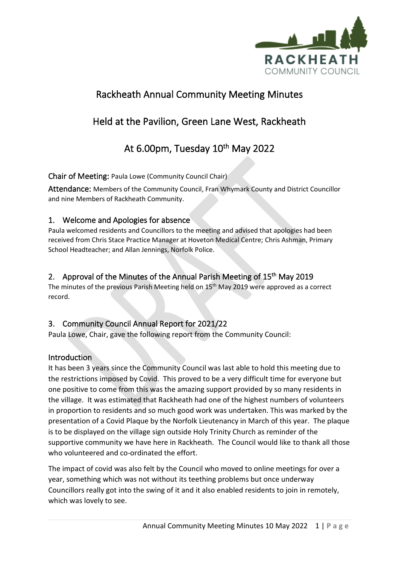

# Rackheath Annual Community Meeting Minutes

# Held at the Pavilion, Green Lane West, Rackheath

# At 6.00pm, Tuesday 10<sup>th</sup> May 2022

Chair of Meeting: Paula Lowe (Community Council Chair)

Attendance: Members of the Community Council, Fran Whymark County and District Councillor and nine Members of Rackheath Community.

# 1. Welcome and Apologies for absence

Paula welcomed residents and Councillors to the meeting and advised that apologies had been received from Chris Stace Practice Manager at Hoveton Medical Centre; Chris Ashman, Primary School Headteacher; and Allan Jennings, Norfolk Police.

# 2. Approval of the Minutes of the Annual Parish Meeting of 15<sup>th</sup> May 2019

The minutes of the previous Parish Meeting held on 15<sup>th</sup> May 2019 were approved as a correct record.

# 3. Community Council Annual Report for 2021/22

Paula Lowe, Chair, gave the following report from the Community Council:

## Introduction

It has been 3 years since the Community Council was last able to hold this meeting due to the restrictions imposed by Covid. This proved to be a very difficult time for everyone but one positive to come from this was the amazing support provided by so many residents in the village. It was estimated that Rackheath had one of the highest numbers of volunteers in proportion to residents and so much good work was undertaken. This was marked by the presentation of a Covid Plaque by the Norfolk Lieutenancy in March of this year. The plaque is to be displayed on the village sign outside Holy Trinity Church as reminder of the supportive community we have here in Rackheath. The Council would like to thank all those who volunteered and co-ordinated the effort.

The impact of covid was also felt by the Council who moved to online meetings for over a year, something which was not without its teething problems but once underway Councillors really got into the swing of it and it also enabled residents to join in remotely, which was lovely to see.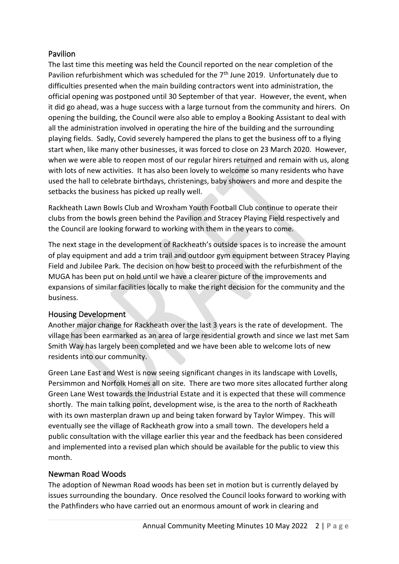# **Pavilion**

The last time this meeting was held the Council reported on the near completion of the Pavilion refurbishment which was scheduled for the  $7<sup>th</sup>$  June 2019. Unfortunately due to difficulties presented when the main building contractors went into administration, the official opening was postponed until 30 September of that year. However, the event, when it did go ahead, was a huge success with a large turnout from the community and hirers. On opening the building, the Council were also able to employ a Booking Assistant to deal with all the administration involved in operating the hire of the building and the surrounding playing fields. Sadly, Covid severely hampered the plans to get the business off to a flying start when, like many other businesses, it was forced to close on 23 March 2020. However, when we were able to reopen most of our regular hirers returned and remain with us, along with lots of new activities. It has also been lovely to welcome so many residents who have used the hall to celebrate birthdays, christenings, baby showers and more and despite the setbacks the business has picked up really well.

Rackheath Lawn Bowls Club and Wroxham Youth Football Club continue to operate their clubs from the bowls green behind the Pavilion and Stracey Playing Field respectively and the Council are looking forward to working with them in the years to come.

The next stage in the development of Rackheath's outside spaces is to increase the amount of play equipment and add a trim trail and outdoor gym equipment between Stracey Playing Field and Jubilee Park. The decision on how best to proceed with the refurbishment of the MUGA has been put on hold until we have a clearer picture of the improvements and expansions of similar facilities locally to make the right decision for the community and the business.

## Housing Development

Another major change for Rackheath over the last 3 years is the rate of development. The village has been earmarked as an area of large residential growth and since we last met Sam Smith Way has largely been completed and we have been able to welcome lots of new residents into our community.

Green Lane East and West is now seeing significant changes in its landscape with Lovells, Persimmon and Norfolk Homes all on site. There are two more sites allocated further along Green Lane West towards the Industrial Estate and it is expected that these will commence shortly. The main talking point, development wise, is the area to the north of Rackheath with its own masterplan drawn up and being taken forward by Taylor Wimpey. This will eventually see the village of Rackheath grow into a small town. The developers held a public consultation with the village earlier this year and the feedback has been considered and implemented into a revised plan which should be available for the public to view this month.

# Newman Road Woods

The adoption of Newman Road woods has been set in motion but is currently delayed by issues surrounding the boundary. Once resolved the Council looks forward to working with the Pathfinders who have carried out an enormous amount of work in clearing and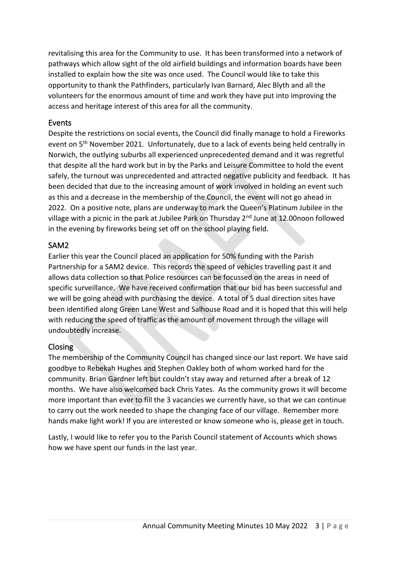revitalising this area for the Community to use. It has been transformed into a network of pathways which allow sight of the old airfield buildings and information boards have been installed to explain how the site was once used. The Council would like to take this opportunity to thank the Pathfinders, particularly Ivan Barnard, Alec Blyth and all the volunteers for the enormous amount of time and work they have put into improving the access and heritage interest of this area for all the community.

## Events

Despite the restrictions on social events, the Council did finally manage to hold a Fireworks event on 5th November 2021. Unfortunately, due to a lack of events being held centrally in Norwich, the outlying suburbs all experienced unprecedented demand and it was regretful that despite all the hard work but in by the Parks and Leisure Committee to hold the event safely, the turnout was unprecedented and attracted negative publicity and feedback. It has been decided that due to the increasing amount of work involved in holding an event such as this and a decrease in the membership of the Council, the event will not go ahead in 2022. On a positive note, plans are underway to mark the Queen's Platinum Jubilee in the village with a picnic in the park at Jubilee Park on Thursday 2<sup>nd</sup> June at 12.00noon followed in the evening by fireworks being set off on the school playing field.

# SAM2

Earlier this year the Council placed an application for 50% funding with the Parish Partnership for a SAM2 device. This records the speed of vehicles travelling past it and allows data collection so that Police resources can be focussed on the areas in need of specific surveillance. We have received confirmation that our bid has been successful and we will be going ahead with purchasing the device. A total of 5 dual direction sites have been identified along Green Lane West and Salhouse Road and it is hoped that this will help with reducing the speed of traffic as the amount of movement through the village will undoubtedly increase.

# Closing

The membership of the Community Council has changed since our last report. We have said goodbye to Rebekah Hughes and Stephen Oakley both of whom worked hard for the community. Brian Gardner left but couldn't stay away and returned after a break of 12 months. We have also welcomed back Chris Yates. As the community grows it will become more important than ever to fill the 3 vacancies we currently have, so that we can continue to carry out the work needed to shape the changing face of our village. Remember more hands make light work! If you are interested or know someone who is, please get in touch.

Lastly, I would like to refer you to the Parish Council statement of Accounts which shows how we have spent our funds in the last year.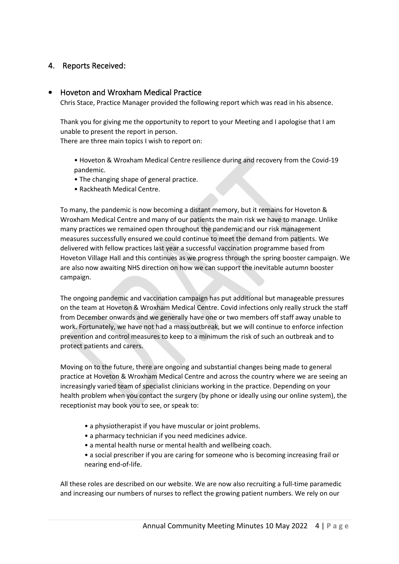## 4. Reports Received:

#### • Hoveton and Wroxham Medical Practice

Chris Stace, Practice Manager provided the following report which was read in his absence.

Thank you for giving me the opportunity to report to your Meeting and I apologise that I am unable to present the report in person. There are three main topics I wish to report on:

• Hoveton & Wroxham Medical Centre resilience during and recovery from the Covid-19 pandemic.

- The changing shape of general practice.
- Rackheath Medical Centre.

To many, the pandemic is now becoming a distant memory, but it remains for Hoveton & Wroxham Medical Centre and many of our patients the main risk we have to manage. Unlike many practices we remained open throughout the pandemic and our risk management measures successfully ensured we could continue to meet the demand from patients. We delivered with fellow practices last year a successful vaccination programme based from Hoveton Village Hall and this continues as we progress through the spring booster campaign. We are also now awaiting NHS direction on how we can support the inevitable autumn booster campaign.

The ongoing pandemic and vaccination campaign has put additional but manageable pressures on the team at Hoveton & Wroxham Medical Centre. Covid infections only really struck the staff from December onwards and we generally have one or two members off staff away unable to work. Fortunately, we have not had a mass outbreak, but we will continue to enforce infection prevention and control measures to keep to a minimum the risk of such an outbreak and to protect patients and carers.

Moving on to the future, there are ongoing and substantial changes being made to general practice at Hoveton & Wroxham Medical Centre and across the country where we are seeing an increasingly varied team of specialist clinicians working in the practice. Depending on your health problem when you contact the surgery (by phone or ideally using our online system), the receptionist may book you to see, or speak to:

- a physiotherapist if you have muscular or joint problems.
- a pharmacy technician if you need medicines advice.
- a mental health nurse or mental health and wellbeing coach.
- a social prescriber if you are caring for someone who is becoming increasing frail or nearing end-of-life.

All these roles are described on our website. We are now also recruiting a full-time paramedic and increasing our numbers of nurses to reflect the growing patient numbers. We rely on our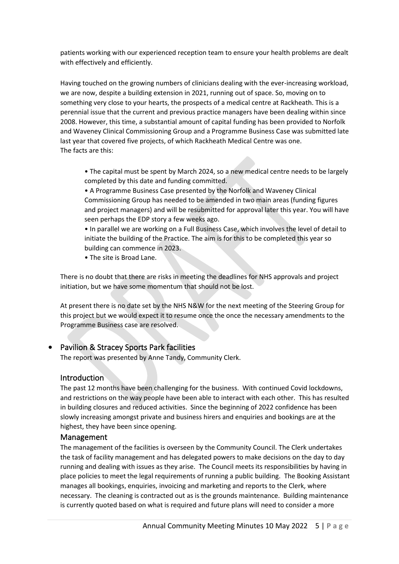patients working with our experienced reception team to ensure your health problems are dealt with effectively and efficiently.

Having touched on the growing numbers of clinicians dealing with the ever-increasing workload, we are now, despite a building extension in 2021, running out of space. So, moving on to something very close to your hearts, the prospects of a medical centre at Rackheath. This is a perennial issue that the current and previous practice managers have been dealing within since 2008. However, this time, a substantial amount of capital funding has been provided to Norfolk and Waveney Clinical Commissioning Group and a Programme Business Case was submitted late last year that covered five projects, of which Rackheath Medical Centre was one. The facts are this:

• The capital must be spent by March 2024, so a new medical centre needs to be largely completed by this date and funding committed.

• A Programme Business Case presented by the Norfolk and Waveney Clinical Commissioning Group has needed to be amended in two main areas (funding figures and project managers) and will be resubmitted for approval later this year. You will have seen perhaps the EDP story a few weeks ago.

• In parallel we are working on a Full Business Case, which involves the level of detail to initiate the building of the Practice. The aim is for this to be completed this year so building can commence in 2023.

• The site is Broad Lane.

There is no doubt that there are risks in meeting the deadlines for NHS approvals and project initiation, but we have some momentum that should not be lost.

At present there is no date set by the NHS N&W for the next meeting of the Steering Group for this project but we would expect it to resume once the once the necessary amendments to the Programme Business case are resolved.

### • Pavilion & Stracey Sports Park facilities

The report was presented by Anne Tandy, Community Clerk.

### Introduction

The past 12 months have been challenging for the business. With continued Covid lockdowns, and restrictions on the way people have been able to interact with each other. This has resulted in building closures and reduced activities. Since the beginning of 2022 confidence has been slowly increasing amongst private and business hirers and enquiries and bookings are at the highest, they have been since opening.

#### Management

The management of the facilities is overseen by the Community Council. The Clerk undertakes the task of facility management and has delegated powers to make decisions on the day to day running and dealing with issues as they arise. The Council meets its responsibilities by having in place policies to meet the legal requirements of running a public building. The Booking Assistant manages all bookings, enquiries, invoicing and marketing and reports to the Clerk, where necessary. The cleaning is contracted out as is the grounds maintenance. Building maintenance is currently quoted based on what is required and future plans will need to consider a more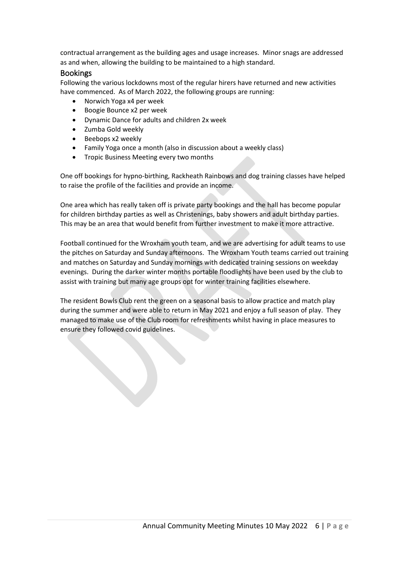contractual arrangement as the building ages and usage increases. Minor snags are addressed as and when, allowing the building to be maintained to a high standard.

#### Bookings

Following the various lockdowns most of the regular hirers have returned and new activities have commenced. As of March 2022, the following groups are running:

- Norwich Yoga x4 per week
- Boogie Bounce x2 per week
- Dynamic Dance for adults and children 2x week
- Zumba Gold weekly
- Beebops x2 weekly
- Family Yoga once a month (also in discussion about a weekly class)
- Tropic Business Meeting every two months

One off bookings for hypno-birthing, Rackheath Rainbows and dog training classes have helped to raise the profile of the facilities and provide an income.

One area which has really taken off is private party bookings and the hall has become popular for children birthday parties as well as Christenings, baby showers and adult birthday parties. This may be an area that would benefit from further investment to make it more attractive.

Football continued for the Wroxham youth team, and we are advertising for adult teams to use the pitches on Saturday and Sunday afternoons. The Wroxham Youth teams carried out training and matches on Saturday and Sunday mornings with dedicated training sessions on weekday evenings. During the darker winter months portable floodlights have been used by the club to assist with training but many age groups opt for winter training facilities elsewhere.

The resident Bowls Club rent the green on a seasonal basis to allow practice and match play during the summer and were able to return in May 2021 and enjoy a full season of play. They managed to make use of the Club room for refreshments whilst having in place measures to ensure they followed covid guidelines.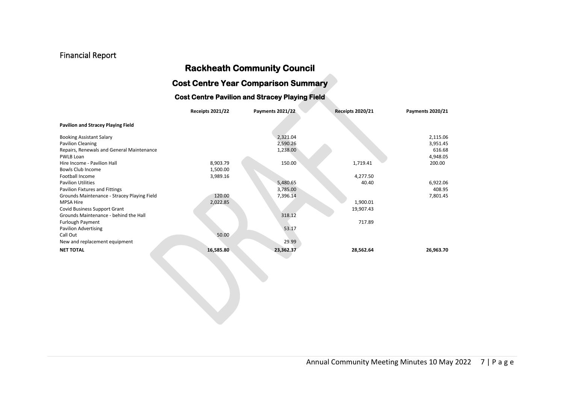# Financial Report

# **Rackheath Community Council**

# **Cost Centre Year Comparison Summary**

#### **Cost Centre Pavilion and Stracey Playing Field**

|                                             | <b>Receipts 2021/22</b> | <b>Payments 2021/22</b> | <b>Receipts 2020/21</b> | <b>Payments 2020/21</b> |
|---------------------------------------------|-------------------------|-------------------------|-------------------------|-------------------------|
| <b>Pavilion and Stracey Playing Field</b>   |                         |                         |                         |                         |
| <b>Booking Assistant Salary</b>             |                         | 2,321.04                |                         | 2,115.06                |
| Pavilion Cleaning                           |                         | 2,590.26                |                         | 3,951.45                |
| Repairs, Renewals and General Maintenance   |                         | 1,238.00                |                         | 616.68                  |
| PWLB Loan                                   |                         |                         |                         | 4,948.05                |
| Hire Income - Pavilion Hall                 | 8,903.79                | 150.00                  | 1,719.41                | 200.00                  |
| Bowls Club Income                           | 1,500.00                |                         |                         |                         |
| Football Income                             | 3,989.16                |                         | 4,277.50                |                         |
| <b>Pavilion Utilities</b>                   |                         | 5,480.65                | 40.40                   | 6,922.06                |
| Pavilion Fixtures and Fittings              |                         | 3,785.00                |                         | 408.95                  |
| Grounds Maintenance - Stracey Playing Field | 120.00                  | 7,396.14                |                         | 7,801.45                |
| <b>MPSA Hire</b>                            | 2,022.85                |                         | 1,900.01                |                         |
| Covid Business Support Grant                |                         |                         | 19,907.43               |                         |
| Grounds Maintenance - behind the Hall       |                         | 318.12                  |                         |                         |
| <b>Furlough Payment</b>                     |                         |                         | 717.89                  |                         |
| <b>Pavilion Advertising</b>                 |                         | 53.17                   |                         |                         |
| Call Out                                    | 50.00                   |                         |                         |                         |
| New and replacement equipment               |                         | 29.99                   |                         |                         |
| <b>NET TOTAL</b>                            | 16,585.80               | 23,362.37               | 28,562.64               | 26,963.70               |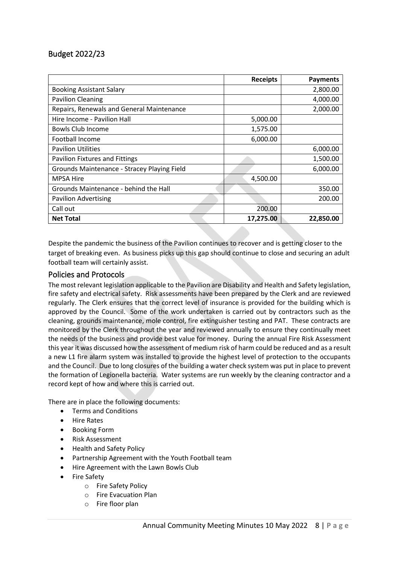# Budget 2022/23

|                                             | <b>Receipts</b> | <b>Payments</b> |
|---------------------------------------------|-----------------|-----------------|
| <b>Booking Assistant Salary</b>             |                 | 2,800.00        |
| <b>Pavilion Cleaning</b>                    |                 | 4,000.00        |
| Repairs, Renewals and General Maintenance   |                 | 2,000.00        |
| Hire Income - Pavilion Hall                 | 5,000.00        |                 |
| Bowls Club Income                           | 1,575.00        |                 |
| Football Income                             | 6,000.00        |                 |
| <b>Pavilion Utilities</b>                   |                 | 6,000.00        |
| <b>Pavilion Fixtures and Fittings</b>       |                 | 1,500.00        |
| Grounds Maintenance - Stracey Playing Field |                 | 6,000.00        |
| <b>MPSA Hire</b>                            | 4,500.00        |                 |
| Grounds Maintenance - behind the Hall       |                 | 350.00          |
| <b>Pavilion Advertising</b>                 |                 | 200.00          |
| Call out                                    | 200.00          |                 |
| <b>Net Total</b>                            | 17,275.00       | 22,850.00       |

Despite the pandemic the business of the Pavilion continues to recover and is getting closer to the target of breaking even. As business picks up this gap should continue to close and securing an adult football team will certainly assist.

### Policies and Protocols

The most relevant legislation applicable to the Pavilion are Disability and Health and Safety legislation, fire safety and electrical safety. Risk assessments have been prepared by the Clerk and are reviewed regularly. The Clerk ensures that the correct level of insurance is provided for the building which is approved by the Council. Some of the work undertaken is carried out by contractors such as the cleaning, grounds maintenance, mole control, fire extinguisher testing and PAT. These contracts are monitored by the Clerk throughout the year and reviewed annually to ensure they continually meet the needs of the business and provide best value for money. During the annual Fire Risk Assessment this year it was discussed how the assessment of medium risk of harm could be reduced and as a result a new L1 fire alarm system was installed to provide the highest level of protection to the occupants and the Council. Due to long closures of the building a water check system was put in place to prevent the formation of Legionella bacteria. Water systems are run weekly by the cleaning contractor and a record kept of how and where this is carried out.

There are in place the following documents:

- Terms and Conditions
- Hire Rates
- Booking Form
- Risk Assessment
- Health and Safety Policy
- Partnership Agreement with the Youth Football team
- Hire Agreement with the Lawn Bowls Club
- Fire Safety
	- o Fire Safety Policy
	- o Fire Evacuation Plan
	- o Fire floor plan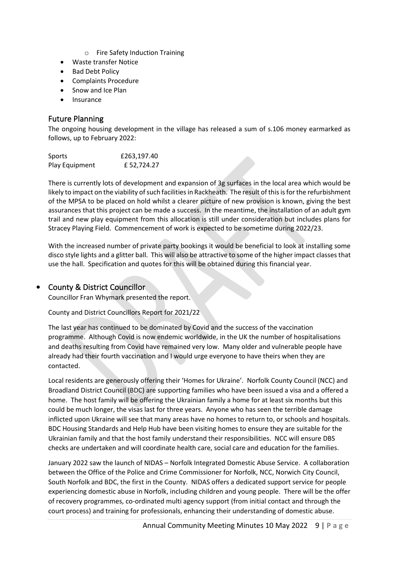- o Fire Safety Induction Training
- Waste transfer Notice
- Bad Debt Policy
- Complaints Procedure
- Snow and Ice Plan
- Insurance

## Future Planning

The ongoing housing development in the village has released a sum of s.106 money earmarked as follows, up to February 2022:

| Sports         | £263,197.40 |
|----------------|-------------|
| Play Equipment | £52,724.27  |

There is currently lots of development and expansion of 3g surfaces in the local area which would be likely to impact on the viability of such facilities in Rackheath. The result of this is for the refurbishment of the MPSA to be placed on hold whilst a clearer picture of new provision is known, giving the best assurances that this project can be made a success. In the meantime, the installation of an adult gym trail and new play equipment from this allocation is still under consideration but includes plans for Stracey Playing Field. Commencement of work is expected to be sometime during 2022/23.

With the increased number of private party bookings it would be beneficial to look at installing some disco style lights and a glitter ball. This will also be attractive to some of the higher impact classes that use the hall. Specification and quotes for this will be obtained during this financial year.

## • County & District Councillor

Councillor Fran Whymark presented the report.

County and District Councillors Report for 2021/22

The last year has continued to be dominated by Covid and the success of the vaccination programme. Although Covid is now endemic worldwide, in the UK the number of hospitalisations and deaths resulting from Covid have remained very low. Many older and vulnerable people have already had their fourth vaccination and I would urge everyone to have theirs when they are contacted.

Local residents are generously offering their 'Homes for Ukraine'. Norfolk County Council (NCC) and Broadland District Council (BDC) are supporting families who have been issued a visa and a offered a home. The host family will be offering the Ukrainian family a home for at least six months but this could be much longer, the visas last for three years. Anyone who has seen the terrible damage inflicted upon Ukraine will see that many areas have no homes to return to, or schools and hospitals. BDC Housing Standards and Help Hub have been visiting homes to ensure they are suitable for the Ukrainian family and that the host family understand their responsibilities. NCC will ensure DBS checks are undertaken and will coordinate health care, social care and education for the families.

January 2022 saw the launch of NIDAS – Norfolk Integrated Domestic Abuse Service. A collaboration between the Office of the Police and Crime Commissioner for Norfolk, NCC, Norwich City Council, South Norfolk and BDC, the first in the County. NIDAS offers a dedicated support service for people experiencing domestic abuse in Norfolk, including children and young people. There will be the offer of recovery programmes, co-ordinated multi agency support (from initial contact and through the court process) and training for professionals, enhancing their understanding of domestic abuse.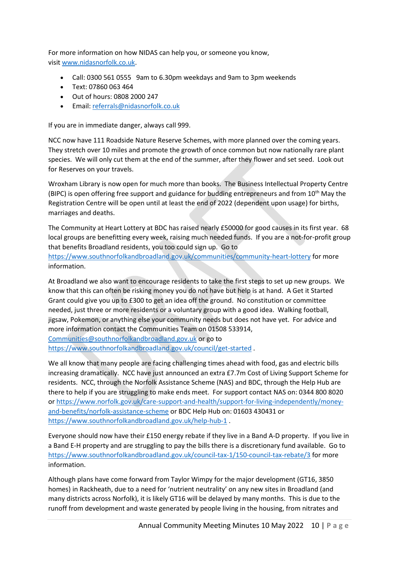For more information on how NIDAS can help you, or someone you know, visit [www.nidasnorfolk.co.uk.](http://www.nidasnorfolk.co.uk/)

- Call: 0300 561 0555 9am to 6.30pm weekdays and 9am to 3pm weekends
- Text: 07860 063 464
- Out of hours: 0808 2000 247
- Email: [referrals@nidasnorfolk.co.uk](mailto:referrals@nidasnorfolk.co.uk)

If you are in immediate danger, always call 999.

NCC now have 111 Roadside Nature Reserve Schemes, with more planned over the coming years. They stretch over 10 miles and promote the growth of once common but now nationally rare plant species. We will only cut them at the end of the summer, after they flower and set seed. Look out for Reserves on your travels.

Wroxham Library is now open for much more than books. The Business Intellectual Property Centre (BIPC) is open offering free support and guidance for budding entrepreneurs and from 10<sup>th</sup> May the Registration Centre will be open until at least the end of 2022 (dependent upon usage) for births, marriages and deaths.

The Community at Heart Lottery at BDC has raised nearly £50000 for good causes in its first year. 68 local groups are benefitting every week, raising much needed funds. If you are a not-for-profit group that benefits Broadland residents, you too could sign up. Go to <https://www.southnorfolkandbroadland.gov.uk/communities/community-heart-lottery> for more information.

At Broadland we also want to encourage residents to take the first steps to set up new groups. We know that this can often be risking money you do not have but help is at hand. A Get it Started Grant could give you up to £300 to get an idea off the ground. No constitution or committee needed, just three or more residents or a voluntary group with a good idea. Walking football, jigsaw, Pokemon, or anything else your community needs but does not have yet. For advice and more information contact the Communities Team on 01508 533914, [Communities@southnorfolkandbroadland.gov.uk](mailto:Communities@southnorfolkandbroadland.gov.uk) or go to

<https://www.southnorfolkandbroadland.gov.uk/council/get-started> .

We all know that many people are facing challenging times ahead with food, gas and electric bills increasing dramatically. NCC have just announced an extra £7.7m Cost of Living Support Scheme for residents. NCC, through the Norfolk Assistance Scheme (NAS) and BDC, through the Help Hub are there to help if you are struggling to make ends meet. For support contact NAS on: 0344 800 8020 or [https://www.norfolk.gov.uk/care-support-and-health/support-for-living-independently/money](https://www.norfolk.gov.uk/care-support-and-health/support-for-living-independently/money-and-benefits/norfolk-assistance-scheme)[and-benefits/norfolk-assistance-scheme](https://www.norfolk.gov.uk/care-support-and-health/support-for-living-independently/money-and-benefits/norfolk-assistance-scheme) or BDC Help Hub on: 01603 430431 or <https://www.southnorfolkandbroadland.gov.uk/help-hub-1> .

Everyone should now have their £150 energy rebate if they live in a Band A-D property. If you live in a Band E-H property and are struggling to pay the bills there is a discretionary fund available. Go to <https://www.southnorfolkandbroadland.gov.uk/council-tax-1/150-council-tax-rebate/3> for more information.

Although plans have come forward from Taylor Wimpy for the major development (GT16, 3850 homes) in Rackheath, due to a need for 'nutrient neutrality' on any new sites in Broadland (and many districts across Norfolk), it is likely GT16 will be delayed by many months. This is due to the runoff from development and waste generated by people living in the housing, from nitrates and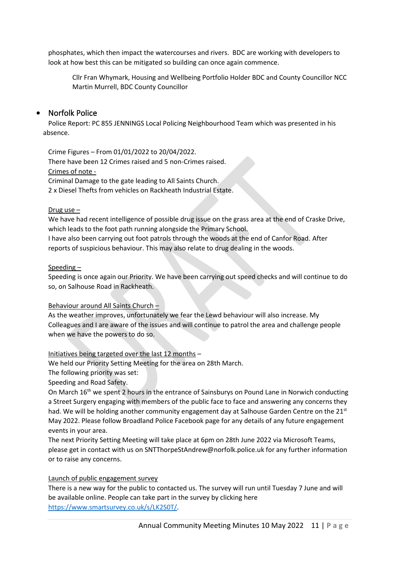phosphates, which then impact the watercourses and rivers. BDC are working with developers to look at how best this can be mitigated so building can once again commence.

Cllr Fran Whymark, Housing and Wellbeing Portfolio Holder BDC and County Councillor NCC Martin Murrell, BDC County Councillor

### • Norfolk Police

Police Report: PC 855 JENNINGS Local Policing Neighbourhood Team which was presented in his absence.

Crime Figures – From 01/01/2022 to 20/04/2022. There have been 12 Crimes raised and 5 non-Crimes raised. Crimes of note - Criminal Damage to the gate leading to All Saints Church. 2 x Diesel Thefts from vehicles on Rackheath Industrial Estate.

#### Drug use –

We have had recent intelligence of possible drug issue on the grass area at the end of Craske Drive, which leads to the foot path running alongside the Primary School.

I have also been carrying out foot patrols through the woods at the end of Canfor Road. After reports of suspicious behaviour. This may also relate to drug dealing in the woods.

#### Speeding –

Speeding is once again our Priority. We have been carrying out speed checks and will continue to do so, on Salhouse Road in Rackheath.

#### Behaviour around All Saints Church –

As the weather improves, unfortunately we fear the Lewd behaviour will also increase. My Colleagues and I are aware of the issues and will continue to patrol the area and challenge people when we have the powers to do so.

#### Initiatives being targeted over the last 12 months –

We held our Priority Setting Meeting for the area on 28th March.

The following priority was set:

Speeding and Road Safety.

On March 16<sup>th</sup> we spent 2 hours in the entrance of Sainsburys on Pound Lane in Norwich conducting a Street Surgery engaging with members of the public face to face and answering any concerns they had. We will be holding another community engagement day at Salhouse Garden Centre on the  $21^{st}$ May 2022. Please follow Broadland Police Facebook page for any details of any future engagement events in your area.

The next Priority Setting Meeting will take place at 6pm on 28th June 2022 via Microsoft Teams, please get in contact with us on SNTThorpeStAndrew@norfolk.police.uk for any further information or to raise any concerns.

### Launch of public engagement survey

There is a new way for the public to contacted us. The survey will run until Tuesday 7 June and will be available online. People can take part in the survey by clicking here [https://www.smartsurvey.co.uk/s/LK2S0T/.](https://www.smartsurvey.co.uk/s/LK2S0T/)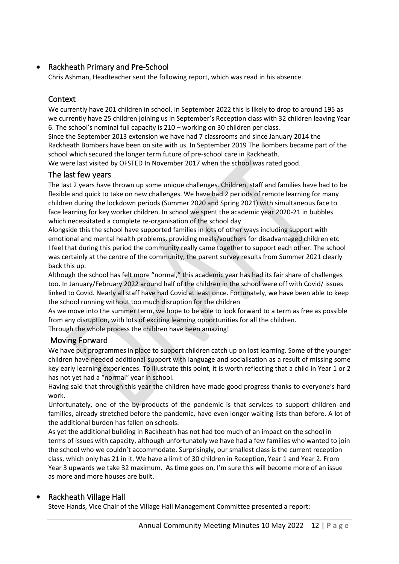# • Rackheath Primary and Pre-School

Chris Ashman, Headteacher sent the following report, which was read in his absence.

## **Context**

We currently have 201 children in school. In September 2022 this is likely to drop to around 195 as we currently have 25 children joining us in September's Reception class with 32 children leaving Year 6. The school's nominal full capacity is 210 – working on 30 children per class.

Since the September 2013 extension we have had 7 classrooms and since January 2014 the Rackheath Bombers have been on site with us. In September 2019 The Bombers became part of the school which secured the longer term future of pre-school care in Rackheath.

We were last visited by OFSTED In November 2017 when the school was rated good.

### The last few years

The last 2 years have thrown up some unique challenges. Children, staff and families have had to be flexible and quick to take on new challenges. We have had 2 periods of remote learning for many children during the lockdown periods (Summer 2020 and Spring 2021) with simultaneous face to face learning for key worker children. In school we spent the academic year 2020-21 in bubbles which necessitated a complete re-organisation of the school day

Alongside this the school have supported families in lots of other ways including support with emotional and mental health problems, providing meals/vouchers for disadvantaged children etc I feel that during this period the community really came together to support each other. The school was certainly at the centre of the community, the parent survey results from Summer 2021 clearly back this up.

Although the school has felt more "normal," this academic year has had its fair share of challenges too. In January/February 2022 around half of the children in the school were off with Covid/ issues linked to Covid. Nearly all staff have had Covid at least once. Fortunately, we have been able to keep the school running without too much disruption for the children

As we move into the summer term, we hope to be able to look forward to a term as free as possible from any disruption, with lots of exciting learning opportunities for all the children.

Through the whole process the children have been amazing!

## Moving Forward

We have put programmes in place to support children catch up on lost learning. Some of the younger children have needed additional support with language and socialisation as a result of missing some key early learning experiences. To illustrate this point, it is worth reflecting that a child in Year 1 or 2 has not yet had a "normal" year in school.

Having said that through this year the children have made good progress thanks to everyone's hard work.

Unfortunately, one of the by-products of the pandemic is that services to support children and families, already stretched before the pandemic, have even longer waiting lists than before. A lot of the additional burden has fallen on schools.

As yet the additional building in Rackheath has not had too much of an impact on the school in terms of issues with capacity, although unfortunately we have had a few families who wanted to join the school who we couldn't accommodate. Surprisingly, our smallest class is the current reception class, which only has 21 in it. We have a limit of 30 children in Reception, Year 1 and Year 2. From Year 3 upwards we take 32 maximum. As time goes on, I'm sure this will become more of an issue as more and more houses are built.

## • Rackheath Village Hall

Steve Hands, Vice Chair of the Village Hall Management Committee presented a report: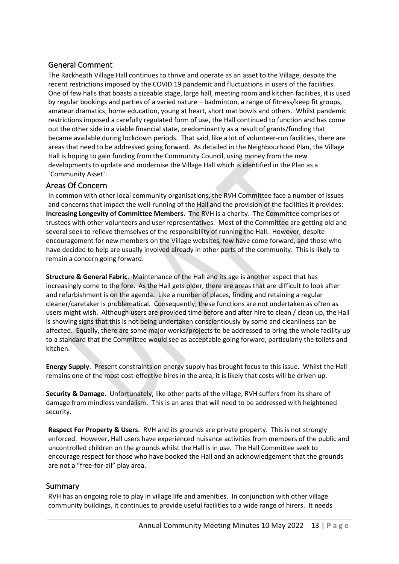# General Comment

The Rackheath Village Hall continues to thrive and operate as an asset to the Village, despite the recent restrictions imposed by the COVID 19 pandemic and fluctuations in users of the facilities. One of few halls that boasts a sizeable stage, large hall, meeting room and kitchen facilities, it is used by regular bookings and parties of a varied nature – badminton, a range of fitness/keep fit groups, amateur dramatics, home education, young at heart, short mat bowls and others. Whilst pandemic restrictions imposed a carefully regulated form of use, the Hall continued to function and has come out the other side in a viable financial state, predominantly as a result of grants/funding that became available during lockdown periods. That said, like a lot of volunteer-run facilities, there are areas that need to be addressed going forward. As detailed in the Neighbourhood Plan, the Village Hall is hoping to gain funding from the Community Council, using money from the new developments to update and modernise the Village Hall which is identified in the Plan as a `Community Asset`.

### Areas Of Concern

In common with other local community organisations, the RVH Committee face a number of issues and concerns that impact the well-running of the Hall and the provision of the facilities it provides: **Increasing Longevity of Committee Members**. The RVH is a charity. The Committee comprises of trustees with other volunteers and user representatives. Most of the Committee are getting old and several seek to relieve themselves of the responsibility of running the Hall. However, despite encouragement for new members on the Village websites, few have come forward, and those who have decided to help are usually involved already in other parts of the community. This is likely to remain a concern going forward.

**Structure & General Fabric**. Maintenance of the Hall and its age is another aspect that has increasingly come to the fore. As the Hall gets older, there are areas that are difficult to look after and refurbishment is on the agenda. Like a number of places, finding and retaining a regular cleaner/caretaker is problematical. Consequently, these functions are not undertaken as often as users might wish. Although users are provided time before and after hire to clean / clean up, the Hall is showing signs that this is not being undertaken conscientiously by some and cleanliness can be affected. Equally, there are some major works/projects to be addressed to bring the whole facility up to a standard that the Committee would see as acceptable going forward, particularly the toilets and kitchen.

**Energy Supply**. Present constraints on energy supply has brought focus to this issue. Whilst the Hall remains one of the most cost-effective hires in the area, it is likely that costs will be driven up.

**Security & Damage**. Unfortunately, like other parts of the village, RVH suffers from its share of damage from mindless vandalism. This is an area that will need to be addressed with heightened security.

**Respect For Property & Users**. RVH and its grounds are private property. This is not strongly enforced. However, Hall users have experienced nuisance activities from members of the public and uncontrolled children on the grounds whilst the Hall is in use. The Hall Committee seek to encourage respect for those who have booked the Hall and an acknowledgement that the grounds are not a "free-for-all" play area.

### Summary

RVH has an ongoing role to play in village life and amenities. In conjunction with other village community buildings, it continues to provide useful facilities to a wide range of hirers. It needs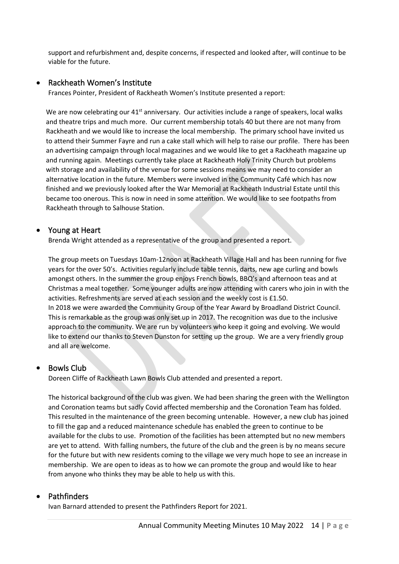support and refurbishment and, despite concerns, if respected and looked after, will continue to be viable for the future.

### • Rackheath Women's Institute

Frances Pointer, President of Rackheath Women's Institute presented a report:

We are now celebrating our  $41<sup>st</sup>$  anniversary. Our activities include a range of speakers, local walks and theatre trips and much more. Our current membership totals 40 but there are not many from Rackheath and we would like to increase the local membership. The primary school have invited us to attend their Summer Fayre and run a cake stall which will help to raise our profile. There has been an advertising campaign through local magazines and we would like to get a Rackheath magazine up and running again. Meetings currently take place at Rackheath Holy Trinity Church but problems with storage and availability of the venue for some sessions means we may need to consider an alternative location in the future. Members were involved in the Community Café which has now finished and we previously looked after the War Memorial at Rackheath Industrial Estate until this became too onerous. This is now in need in some attention. We would like to see footpaths from Rackheath through to Salhouse Station.

### • Young at Heart

Brenda Wright attended as a representative of the group and presented a report.

The group meets on Tuesdays 10am-12noon at Rackheath Village Hall and has been running for five years for the over 50's. Activities regularly include table tennis, darts, new age curling and bowls amongst others. In the summer the group enjoys French bowls, BBQ's and afternoon teas and at Christmas a meal together. Some younger adults are now attending with carers who join in with the activities. Refreshments are served at each session and the weekly cost is £1.50. In 2018 we were awarded the Community Group of the Year Award by Broadland District Council. This is remarkable as the group was only set up in 2017. The recognition was due to the inclusive approach to the community. We are run by volunteers who keep it going and evolving. We would like to extend our thanks to Steven Dunston for setting up the group. We are a very friendly group and all are welcome.

### • Bowls Club

Doreen Cliffe of Rackheath Lawn Bowls Club attended and presented a report.

The historical background of the club was given. We had been sharing the green with the Wellington and Coronation teams but sadly Covid affected membership and the Coronation Team has folded. This resulted in the maintenance of the green becoming untenable. However, a new club has joined to fill the gap and a reduced maintenance schedule has enabled the green to continue to be available for the clubs to use. Promotion of the facilities has been attempted but no new members are yet to attend. With falling numbers, the future of the club and the green is by no means secure for the future but with new residents coming to the village we very much hope to see an increase in membership. We are open to ideas as to how we can promote the group and would like to hear from anyone who thinks they may be able to help us with this.

### • Pathfinders

Ivan Barnard attended to present the Pathfinders Report for 2021.